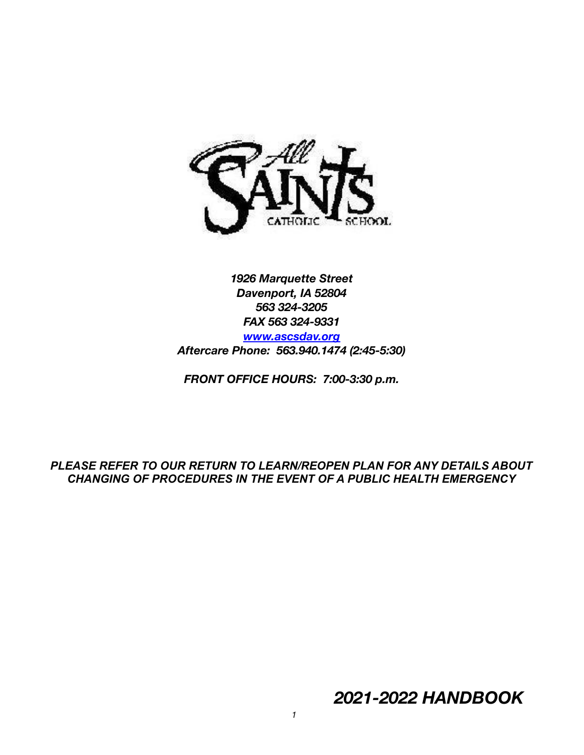

*1926 Marquette Street Davenport, IA 52804 563 324-3205 FAX 563 324-9331 [www.ascsdav.org](http://www.ascsdav.org) Aftercare Phone: 563.940.1474 (2:45-5:30)*

*FRONT OFFICE HOURS: 7:00-3:30 p.m.*

*PLEASE REFER TO OUR RETURN TO LEARN/REOPEN PLAN FOR ANY DETAILS ABOUT CHANGING OF PROCEDURES IN THE EVENT OF A PUBLIC HEALTH EMERGENCY*

*2021-2022 HANDBOOK*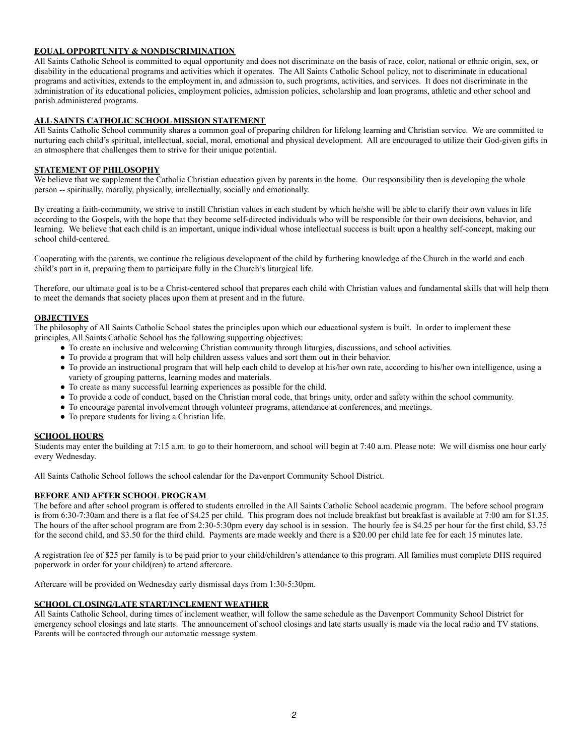## **EQUAL OPPORTUNITY & NONDISCRIMINATION**

All Saints Catholic School is committed to equal opportunity and does not discriminate on the basis of race, color, national or ethnic origin, sex, or disability in the educational programs and activities which it operates. The All Saints Catholic School policy, not to discriminate in educational programs and activities, extends to the employment in, and admission to, such programs, activities, and services. It does not discriminate in the administration of its educational policies, employment policies, admission policies, scholarship and loan programs, athletic and other school and parish administered programs.

## **ALL SAINTS CATHOLIC SCHOOL MISSION STATEMENT**

All Saints Catholic School community shares a common goal of preparing children for lifelong learning and Christian service. We are committed to nurturing each child's spiritual, intellectual, social, moral, emotional and physical development. All are encouraged to utilize their God-given gifts in an atmosphere that challenges them to strive for their unique potential.

## **STATEMENT OF PHILOSOPHY**

We believe that we supplement the Catholic Christian education given by parents in the home. Our responsibility then is developing the whole person -- spiritually, morally, physically, intellectually, socially and emotionally.

By creating a faith-community, we strive to instill Christian values in each student by which he/she will be able to clarify their own values in life according to the Gospels, with the hope that they become self-directed individuals who will be responsible for their own decisions, behavior, and learning. We believe that each child is an important, unique individual whose intellectual success is built upon a healthy self-concept, making our school child-centered.

Cooperating with the parents, we continue the religious development of the child by furthering knowledge of the Church in the world and each child's part in it, preparing them to participate fully in the Church's liturgical life.

Therefore, our ultimate goal is to be a Christ-centered school that prepares each child with Christian values and fundamental skills that will help them to meet the demands that society places upon them at present and in the future.

### **OBJECTIVES**

The philosophy of All Saints Catholic School states the principles upon which our educational system is built. In order to implement these principles, All Saints Catholic School has the following supporting objectives:

- To create an inclusive and welcoming Christian community through liturgies, discussions, and school activities.
- To provide a program that will help children assess values and sort them out in their behavior.
- To provide an instructional program that will help each child to develop at his/her own rate, according to his/her own intelligence, using a variety of grouping patterns, learning modes and materials.
- To create as many successful learning experiences as possible for the child.
- To provide a code of conduct, based on the Christian moral code, that brings unity, order and safety within the school community.
- To encourage parental involvement through volunteer programs, attendance at conferences, and meetings.
- To prepare students for living a Christian life.

## **SCHOOL HOURS**

Students may enter the building at 7:15 a.m. to go to their homeroom, and school will begin at 7:40 a.m. Please note: We will dismiss one hour early every Wednesday.

All Saints Catholic School follows the school calendar for the Davenport Community School District.

### **BEFORE AND AFTER SCHOOL PROGRAM**

The before and after school program is offered to students enrolled in the All Saints Catholic School academic program. The before school program is from 6:30-7:30am and there is a flat fee of \$4.25 per child. This program does not include breakfast but breakfast is available at 7:00 am for \$1.35. The hours of the after school program are from 2:30-5:30pm every day school is in session. The hourly fee is \$4.25 per hour for the first child, \$3.75 for the second child, and \$3.50 for the third child. Payments are made weekly and there is a \$20.00 per child late fee for each 15 minutes late.

A registration fee of \$25 per family is to be paid prior to your child/children's attendance to this program. All families must complete DHS required paperwork in order for your child(ren) to attend aftercare.

Aftercare will be provided on Wednesday early dismissal days from 1:30-5:30pm.

#### **SCHOOL CLOSING/LATE START/INCLEMENT WEATHER**

All Saints Catholic School, during times of inclement weather, will follow the same schedule as the Davenport Community School District for emergency school closings and late starts. The announcement of school closings and late starts usually is made via the local radio and TV stations. Parents will be contacted through our automatic message system.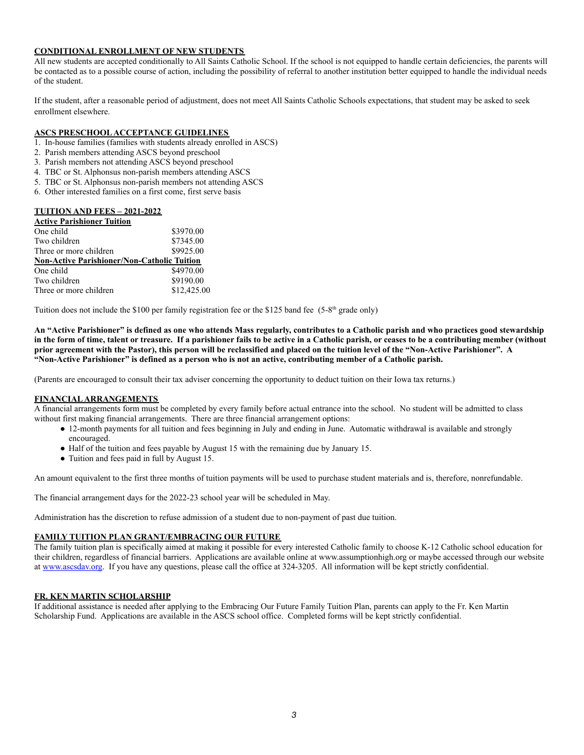## **CONDITIONAL ENROLLMENT OF NEW STUDENTS**

All new students are accepted conditionally to All Saints Catholic School. If the school is not equipped to handle certain deficiencies, the parents will be contacted as to a possible course of action, including the possibility of referral to another institution better equipped to handle the individual needs of the student.

If the student, after a reasonable period of adjustment, does not meet All Saints Catholic Schools expectations, that student may be asked to seek enrollment elsewhere.

## **ASCS PRESCHOOL ACCEPTANCE GUIDELINES**

- 1. In-house families (families with students already enrolled in ASCS)
- 2. Parish members attending ASCS beyond preschool
- 3. Parish members not attending ASCS beyond preschool
- 4. TBC or St. Alphonsus non-parish members attending ASCS
- 5. TBC or St. Alphonsus non-parish members not attending ASCS
- 6. Other interested families on a first come, first serve basis

| <b>TULLION AND FEES - 2021-2022</b>                |             |
|----------------------------------------------------|-------------|
| <b>Active Parishioner Tuition</b>                  |             |
| One child                                          | \$3970.00   |
| Two children                                       | \$7345.00   |
| Three or more children                             | \$9925.00   |
| <b>Non-Active Parishioner/Non-Catholic Tuition</b> |             |
| One child                                          | \$4970.00   |
| Two children                                       | \$9190.00   |
| Three or more children                             | \$12,425.00 |
|                                                    |             |

**TUITION AND FEES – 2021-2022**

Tuition does not include the \$100 per family registration fee or the \$125 band fee (5-8<sup>th</sup> grade only)

**An "Active Parishioner" is defined as one who attends Mass regularly, contributes to a Catholic parish and who practices good stewardship in the form of time, talent or treasure. If a parishioner fails to be active in a Catholic parish, or ceases to be a contributing member (without prior agreement with the Pastor), this person will be reclassified and placed on the tuition level of the "Non-Active Parishioner". A "Non-Active Parishioner" is defined as a person who is not an active, contributing member of a Catholic parish.**

(Parents are encouraged to consult their tax adviser concerning the opportunity to deduct tuition on their Iowa tax returns.)

#### **FINANCIALARRANGEMENTS**

A financial arrangements form must be completed by every family before actual entrance into the school. No student will be admitted to class without first making financial arrangements. There are three financial arrangement options:

- 12-month payments for all tuition and fees beginning in July and ending in June. Automatic withdrawal is available and strongly encouraged.
- Half of the tuition and fees payable by August 15 with the remaining due by January 15.
- Tuition and fees paid in full by August 15.

An amount equivalent to the first three months of tuition payments will be used to purchase student materials and is, therefore, nonrefundable.

The financial arrangement days for the 2022-23 school year will be scheduled in May.

Administration has the discretion to refuse admission of a student due to non-payment of past due tuition.

### **FAMILY TUITION PLAN GRANT/EMBRACING OUR FUTURE**

The family tuition plan is specifically aimed at making it possible for every interested Catholic family to choose K-12 Catholic school education for their children, regardless of financial barriers. Applications are available online at www.assumptionhigh.org or maybe accessed through our website at [www.ascsdav.org](http://www.ascsdav.org). If you have any questions, please call the office at 324-3205. All information will be kept strictly confidential.

#### **FR. KEN MARTIN SCHOLARSHIP**

If additional assistance is needed after applying to the Embracing Our Future Family Tuition Plan, parents can apply to the Fr. Ken Martin Scholarship Fund. Applications are available in the ASCS school office. Completed forms will be kept strictly confidential.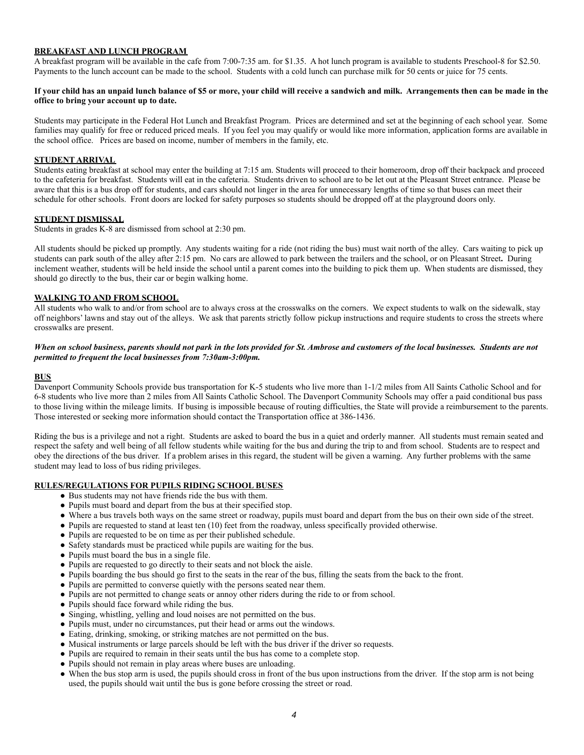## **BREAKFAST AND LUNCH PROGRAM**

A breakfast program will be available in the cafe from 7:00-7:35 am. for \$1.35. A hot lunch program is available to students Preschool-8 for \$2.50. Payments to the lunch account can be made to the school. Students with a cold lunch can purchase milk for 50 cents or juice for 75 cents.

#### **If your child has an unpaid lunch balance of \$5 or more, your child will receive a sandwich and milk. Arrangements then can be made in the office to bring your account up to date.**

Students may participate in the Federal Hot Lunch and Breakfast Program. Prices are determined and set at the beginning of each school year. Some families may qualify for free or reduced priced meals. If you feel you may qualify or would like more information, application forms are available in the school office. Prices are based on income, number of members in the family, etc.

#### **STUDENT ARRIVAL**

Students eating breakfast at school may enter the building at 7:15 am. Students will proceed to their homeroom, drop off their backpack and proceed to the cafeteria for breakfast. Students will eat in the cafeteria. Students driven to school are to be let out at the Pleasant Street entrance. Please be aware that this is a bus drop off for students, and cars should not linger in the area for unnecessary lengths of time so that buses can meet their schedule for other schools. Front doors are locked for safety purposes so students should be dropped off at the playground doors only.

#### **STUDENT DISMISSAL**

Students in grades K-8 are dismissed from school at 2:30 pm.

All students should be picked up promptly. Any students waiting for a ride (not riding the bus) must wait north of the alley. Cars waiting to pick up students can park south of the alley after 2:15 pm. No cars are allowed to park between the trailers and the school, or on Pleasant Street**.** During inclement weather, students will be held inside the school until a parent comes into the building to pick them up. When students are dismissed, they should go directly to the bus, their car or begin walking home.

# **WALKING TO AND FROM SCHOOL**

All students who walk to and/or from school are to always cross at the crosswalks on the corners. We expect students to walk on the sidewalk, stay off neighbors' lawns and stay out of the alleys. We ask that parents strictly follow pickup instructions and require students to cross the streets where crosswalks are present.

#### *When on school business, parents should not park in the lots provided for St. Ambrose and customers of the local businesses. Students are not permitted to frequent the local businesses from 7:30am-3:00pm.*

#### **BUS**

Davenport Community Schools provide bus transportation for K-5 students who live more than 1-1/2 miles from All Saints Catholic School and for 6-8 students who live more than 2 miles from All Saints Catholic School. The Davenport Community Schools may offer a paid conditional bus pass to those living within the mileage limits. If busing is impossible because of routing difficulties, the State will provide a reimbursement to the parents. Those interested or seeking more information should contact the Transportation office at 386-1436.

Riding the bus is a privilege and not a right. Students are asked to board the bus in a quiet and orderly manner. All students must remain seated and respect the safety and well being of all fellow students while waiting for the bus and during the trip to and from school. Students are to respect and obey the directions of the bus driver. If a problem arises in this regard, the student will be given a warning. Any further problems with the same student may lead to loss of bus riding privileges.

### **RULES/REGULATIONS FOR PUPILS RIDING SCHOOL BUSES**

- Bus students may not have friends ride the bus with them.
- Pupils must board and depart from the bus at their specified stop.
- Where a bus travels both ways on the same street or roadway, pupils must board and depart from the bus on their own side of the street.
- Pupils are requested to stand at least ten (10) feet from the roadway, unless specifically provided otherwise.
- Pupils are requested to be on time as per their published schedule.
- Safety standards must be practiced while pupils are waiting for the bus.
- Pupils must board the bus in a single file.
- Pupils are requested to go directly to their seats and not block the aisle.
- Pupils boarding the bus should go first to the seats in the rear of the bus, filling the seats from the back to the front.
- Pupils are permitted to converse quietly with the persons seated near them.
- Pupils are not permitted to change seats or annoy other riders during the ride to or from school.
- Pupils should face forward while riding the bus.
- Singing, whistling, yelling and loud noises are not permitted on the bus.
- Pupils must, under no circumstances, put their head or arms out the windows.
- Eating, drinking, smoking, or striking matches are not permitted on the bus.
- Musical instruments or large parcels should be left with the bus driver if the driver so requests.
- Pupils are required to remain in their seats until the bus has come to a complete stop.
- Pupils should not remain in play areas where buses are unloading.
- When the bus stop arm is used, the pupils should cross in front of the bus upon instructions from the driver. If the stop arm is not being used, the pupils should wait until the bus is gone before crossing the street or road.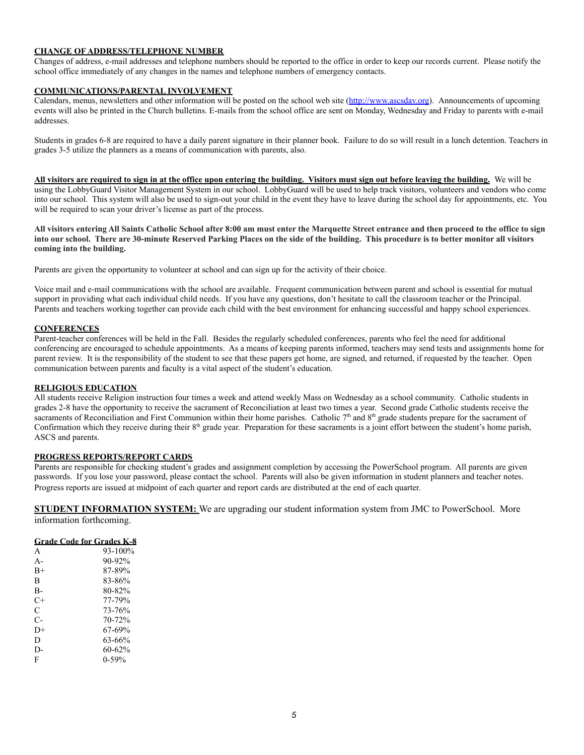## **CHANGE OF ADDRESS/TELEPHONE NUMBER**

Changes of address, e-mail addresses and telephone numbers should be reported to the office in order to keep our records current. Please notify the school office immediately of any changes in the names and telephone numbers of emergency contacts.

#### **COMMUNICATIONS/PARENTAL INVOLVEMENT**

Calendars, menus, newsletters and other information will be posted on the school web site ([http://www.ascsdav.org](http://www.ascsdav/prg)). Announcements of upcoming events will also be printed in the Church bulletins. E-mails from the school office are sent on Monday, Wednesday and Friday to parents with e-mail addresses.

Students in grades 6-8 are required to have a daily parent signature in their planner book. Failure to do so will result in a lunch detention. Teachers in grades 3-5 utilize the planners as a means of communication with parents, also.

**All visitors are required to sign in at the office upon entering the building. Visitors must sign out before leaving the building.** We will be using the LobbyGuard Visitor Management System in our school. LobbyGuard will be used to help track visitors, volunteers and vendors who come into our school. This system will also be used to sign-out your child in the event they have to leave during the school day for appointments, etc. You will be required to scan your driver's license as part of the process.

**All visitors entering All Saints Catholic School after 8:00 am must enter the Marquette Street entrance and then proceed to the office to sign into our school. There are 30-minute Reserved Parking Places on the side of the building. This procedure is to better monitor all visitors coming into the building.**

Parents are given the opportunity to volunteer at school and can sign up for the activity of their choice.

Voice mail and e-mail communications with the school are available. Frequent communication between parent and school is essential for mutual support in providing what each individual child needs. If you have any questions, don't hesitate to call the classroom teacher or the Principal. Parents and teachers working together can provide each child with the best environment for enhancing successful and happy school experiences.

#### **CONFERENCES**

Parent-teacher conferences will be held in the Fall. Besides the regularly scheduled conferences, parents who feel the need for additional conferencing are encouraged to schedule appointments. As a means of keeping parents informed, teachers may send tests and assignments home for parent review. It is the responsibility of the student to see that these papers get home, are signed, and returned, if requested by the teacher. Open communication between parents and faculty is a vital aspect of the student's education.

#### **RELIGIOUS EDUCATION**

All students receive Religion instruction four times a week and attend weekly Mass on Wednesday as a school community. Catholic students in grades 2-8 have the opportunity to receive the sacrament of Reconciliation at least two times a year. Second grade Catholic students receive the sacraments of Reconciliation and First Communion within their home parishes. Catholic  $7<sup>th</sup>$  and  $8<sup>th</sup>$  grade students prepare for the sacrament of Confirmation which they receive during their  $8<sup>th</sup>$  grade year. Preparation for these sacraments is a joint effort between the student's home parish, ASCS and parents.

# **PROGRESS REPORTS/REPORT CARDS**

Parents are responsible for checking student's grades and assignment completion by accessing the PowerSchool program. All parents are given passwords. If you lose your password, please contact the school. Parents will also be given information in student planners and teacher notes. Progress reports are issued at midpoint of each quarter and report cards are distributed at the end of each quarter.

**STUDENT INFORMATION SYSTEM:** We are upgrading our student information system from JMC to PowerSchool. More information forthcoming.

| <b>Grade Code for Grades K-8</b> |            |  |  |  |
|----------------------------------|------------|--|--|--|
| A                                | 93-100%    |  |  |  |
| $A -$                            | $90 - 92%$ |  |  |  |
| $B+$                             | 87-89%     |  |  |  |
| R                                | 83-86%     |  |  |  |
| В-                               | 80-82%     |  |  |  |
| C+                               | 77-79%     |  |  |  |
| C                                | 73-76%     |  |  |  |
| C-                               | 70-72%     |  |  |  |
| D+                               | 67-69%     |  |  |  |
| D                                | 63-66%     |  |  |  |
| D-                               | $60 - 62%$ |  |  |  |
| F                                | 0-59%      |  |  |  |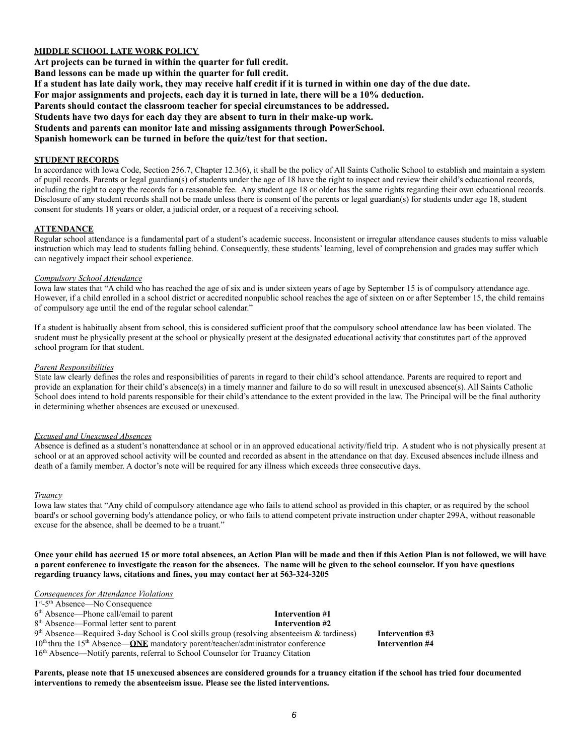## **MIDDLE SCHOOL LATE WORK POLICY**

**Art projects can be turned in within the quarter for full credit. Band lessons can be made up within the quarter for full credit.** If a student has late daily work, they may receive half credit if it is turned in within one day of the due date. **For major assignments and projects, each day it is turned in late, there will be a 10% deduction. Parents should contact the classroom teacher for special circumstances to be addressed. Students have two days for each day they are absent to turn in their make-up work. Students and parents can monitor late and missing assignments through PowerSchool. Spanish homework can be turned in before the quiz/test for that section.**

#### **STUDENT RECORDS**

In accordance with Iowa Code, Section 256.7, Chapter 12.3(6), it shall be the policy of All Saints Catholic School to establish and maintain a system of pupil records. Parents or legal guardian(s) of students under the age of 18 have the right to inspect and review their child's educational records, including the right to copy the records for a reasonable fee. Any student age 18 or older has the same rights regarding their own educational records. Disclosure of any student records shall not be made unless there is consent of the parents or legal guardian(s) for students under age 18, student consent for students 18 years or older, a judicial order, or a request of a receiving school.

#### **ATTENDANCE**

Regular school attendance is a fundamental part of a student's academic success. Inconsistent or irregular attendance causes students to miss valuable instruction which may lead to students falling behind. Consequently, these students' learning, level of comprehension and grades may suffer which can negatively impact their school experience.

#### *Compulsory School Attendance*

Iowa law states that "A child who has reached the age of six and is under sixteen years of age by September 15 is of compulsory attendance age. However, if a child enrolled in a school district or accredited nonpublic school reaches the age of sixteen on or after September 15, the child remains of compulsory age until the end of the regular school calendar."

If a student is habitually absent from school, this is considered sufficient proof that the compulsory school attendance law has been violated. The student must be physically present at the school or physically present at the designated educational activity that constitutes part of the approved school program for that student.

#### *Parent Responsibilities*

State law clearly defines the roles and responsibilities of parents in regard to their child's school attendance. Parents are required to report and provide an explanation for their child's absence(s) in a timely manner and failure to do so will result in unexcused absence(s). All Saints Catholic School does intend to hold parents responsible for their child's attendance to the extent provided in the law. The Principal will be the final authority in determining whether absences are excused or unexcused.

#### *Excused and Unexcused Absences*

Absence is defined as a student's nonattendance at school or in an approved educational activity/field trip. A student who is not physically present at school or at an approved school activity will be counted and recorded as absent in the attendance on that day. Excused absences include illness and death of a family member. A doctor's note will be required for any illness which exceeds three consecutive days.

#### *Truancy*

Iowa law states that "Any child of compulsory attendance age who fails to attend school as provided in this chapter, or as required by the school board's or school governing body's attendance policy, or who fails to attend competent private instruction under chapter 299A, without reasonable excuse for the absence, shall be deemed to be a truant."

**Once your child has accrued 15 or more total absences, an Action Plan will be made and then if this Action Plan is not followed, we will have a parent conference to investigate the reason for the absences. The name will be given to the school counselor. If you have questions regarding truancy laws, citations and fines, you may contact her at 563-324-3205**

### *Consequences for Attendance Violations*

| $1st - 5th$ Absence—No Consequence                                                                     |                 |                 |
|--------------------------------------------------------------------------------------------------------|-----------------|-----------------|
| $6th$ Absence—Phone call/email to parent                                                               | Intervention #1 |                 |
| 8 <sup>th</sup> Absence—Formal letter sent to parent                                                   | Intervention #2 |                 |
| $9th$ Absence—Required 3-day School is Cool skills group (resolving absenteeism & tardiness)           |                 | Intervention #3 |
| $10th$ thru the 15 <sup>th</sup> Absence— <b>ONE</b> mandatory parent/teacher/administrator conference |                 | Intervention #4 |
| 16 <sup>th</sup> Absence—Notify parents, referral to School Counselor for Truancy Citation             |                 |                 |

**Parents, please note that 15 unexcused absences are considered grounds for a truancy citation if the school has tried four documented interventions to remedy the absenteeism issue. Please see the listed interventions.**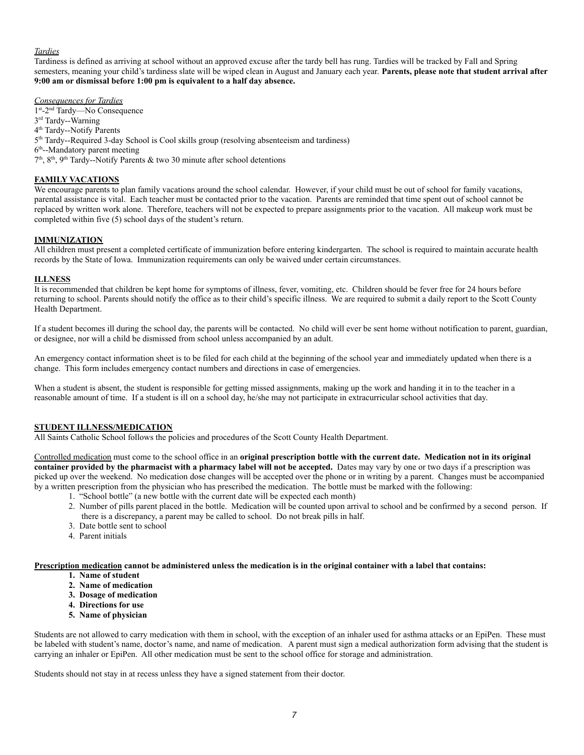### *Tardies*

Tardiness is defined as arriving at school without an approved excuse after the tardy bell has rung. Tardies will be tracked by Fall and Spring semesters, meaning your child's tardiness slate will be wiped clean in August and January each year. **Parents, please note that student arrival after 9:00 am or dismissal before 1:00 pm is equivalent to a half day absence.**

*Consequences for Tardies*

1<sup>st</sup>-2<sup>nd</sup> Tardy—No Consequence 3<sup>rd</sup> Tardy--Warning

4 th Tardy--Notify Parents

5<sup>th</sup> Tardy--Required 3-day School is Cool skills group (resolving absenteeism and tardiness)

6<sup>th</sup>--Mandatory parent meeting

 $7<sup>th</sup>$ ,  $8<sup>th</sup>$ ,  $9<sup>th</sup>$  Tardy--Notify Parents & two 30 minute after school detentions

## **FAMILY VACATIONS**

We encourage parents to plan family vacations around the school calendar. However, if your child must be out of school for family vacations, parental assistance is vital. Each teacher must be contacted prior to the vacation. Parents are reminded that time spent out of school cannot be replaced by written work alone. Therefore, teachers will not be expected to prepare assignments prior to the vacation. All makeup work must be completed within five (5) school days of the student's return.

### **IMMUNIZATION**

All children must present a completed certificate of immunization before entering kindergarten. The school is required to maintain accurate health records by the State of Iowa. Immunization requirements can only be waived under certain circumstances.

### **ILLNESS**

It is recommended that children be kept home for symptoms of illness, fever, vomiting, etc. Children should be fever free for 24 hours before returning to school. Parents should notify the office as to their child's specific illness. We are required to submit a daily report to the Scott County Health Department.

If a student becomes ill during the school day, the parents will be contacted. No child will ever be sent home without notification to parent, guardian, or designee, nor will a child be dismissed from school unless accompanied by an adult.

An emergency contact information sheet is to be filed for each child at the beginning of the school year and immediately updated when there is a change. This form includes emergency contact numbers and directions in case of emergencies.

When a student is absent, the student is responsible for getting missed assignments, making up the work and handing it in to the teacher in a reasonable amount of time. If a student is ill on a school day, he/she may not participate in extracurricular school activities that day.

### **STUDENT ILLNESS/MEDICATION**

All Saints Catholic School follows the policies and procedures of the Scott County Health Department.

Controlled medication must come to the school office in an **original prescription bottle with the current date. Medication not in its original container provided by the pharmacist with a pharmacy label will not be accepted.** Dates may vary by one or two days if a prescription was picked up over the weekend. No medication dose changes will be accepted over the phone or in writing by a parent. Changes must be accompanied by a written prescription from the physician who has prescribed the medication. The bottle must be marked with the following:

- 1. "School bottle" (a new bottle with the current date will be expected each month)
- 2. Number of pills parent placed in the bottle. Medication will be counted upon arrival to school and be confirmed by a second person. If there is a discrepancy, a parent may be called to school. Do not break pills in half.
- 3. Date bottle sent to school
- 4. Parent initials

**Prescription medication cannot be administered unless the medication is in the original container with a label that contains:**

- **1. Name of student**
- **2. Name of medication**
- **3. Dosage of medication**
- **4. Directions for use**
- **5. Name of physician**

Students are not allowed to carry medication with them in school, with the exception of an inhaler used for asthma attacks or an EpiPen. These must be labeled with student's name, doctor's name, and name of medication. A parent must sign a medical authorization form advising that the student is carrying an inhaler or EpiPen. All other medication must be sent to the school office for storage and administration.

Students should not stay in at recess unless they have a signed statement from their doctor.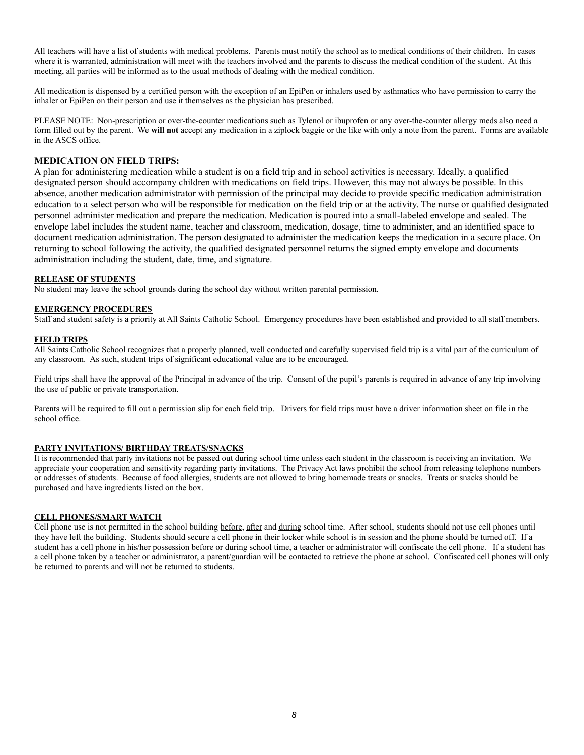All teachers will have a list of students with medical problems. Parents must notify the school as to medical conditions of their children. In cases where it is warranted, administration will meet with the teachers involved and the parents to discuss the medical condition of the student. At this meeting, all parties will be informed as to the usual methods of dealing with the medical condition.

All medication is dispensed by a certified person with the exception of an EpiPen or inhalers used by asthmatics who have permission to carry the inhaler or EpiPen on their person and use it themselves as the physician has prescribed.

PLEASE NOTE: Non-prescription or over-the-counter medications such as Tylenol or ibuprofen or any over-the-counter allergy meds also need a form filled out by the parent. We **will not** accept any medication in a ziplock baggie or the like with only a note from the parent. Forms are available in the ASCS office.

## **MEDICATION ON FIELD TRIPS:**

A plan for administering medication while a student is on a field trip and in school activities is necessary. Ideally, a qualified designated person should accompany children with medications on field trips. However, this may not always be possible. In this absence, another medication administrator with permission of the principal may decide to provide specific medication administration education to a select person who will be responsible for medication on the field trip or at the activity. The nurse or qualified designated personnel administer medication and prepare the medication. Medication is poured into a small-labeled envelope and sealed. The envelope label includes the student name, teacher and classroom, medication, dosage, time to administer, and an identified space to document medication administration. The person designated to administer the medication keeps the medication in a secure place. On returning to school following the activity, the qualified designated personnel returns the signed empty envelope and documents administration including the student, date, time, and signature.

### **RELEASE OF STUDENTS**

No student may leave the school grounds during the school day without written parental permission.

#### **EMERGENCY PROCEDURES**

Staff and student safety is a priority at All Saints Catholic School. Emergency procedures have been established and provided to all staff members.

#### **FIELD TRIPS**

All Saints Catholic School recognizes that a properly planned, well conducted and carefully supervised field trip is a vital part of the curriculum of any classroom. As such, student trips of significant educational value are to be encouraged.

Field trips shall have the approval of the Principal in advance of the trip. Consent of the pupil's parents is required in advance of any trip involving the use of public or private transportation.

Parents will be required to fill out a permission slip for each field trip. Drivers for field trips must have a driver information sheet on file in the school office.

### **PARTY INVITATIONS/ BIRTHDAY TREATS/SNACKS**

It is recommended that party invitations not be passed out during school time unless each student in the classroom is receiving an invitation. We appreciate your cooperation and sensitivity regarding party invitations. The Privacy Act laws prohibit the school from releasing telephone numbers or addresses of students. Because of food allergies, students are not allowed to bring homemade treats or snacks. Treats or snacks should be purchased and have ingredients listed on the box.

### **CELL PHONES/SMART WATCH**

Cell phone use is not permitted in the school building before, after and during school time. After school, students should not use cell phones until they have left the building. Students should secure a cell phone in their locker while school is in session and the phone should be turned off. If a student has a cell phone in his/her possession before or during school time, a teacher or administrator will confiscate the cell phone. If a student has a cell phone taken by a teacher or administrator, a parent/guardian will be contacted to retrieve the phone at school. Confiscated cell phones will only be returned to parents and will not be returned to students.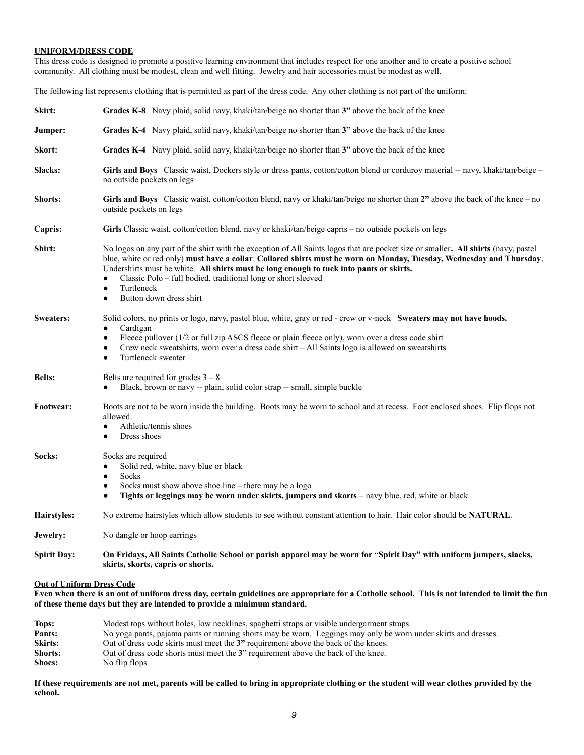#### **UNIFORM/DRESS CODE**

This dress code is designed to promote a positive learning environment that includes respect for one another and to create a positive school community. All clothing must be modest, clean and well fitting. Jewelry and hair accessories must be modest as well.

The following list represents clothing that is permitted as part of the dress code. Any other clothing is not part of the uniform:

| Skirt:                           | <b>Grades K-8</b> Navy plaid, solid navy, khaki/tan/beige no shorter than 3" above the back of the knee                                                                                                                                                                                                                                                                                                                                                                                    |  |  |  |  |
|----------------------------------|--------------------------------------------------------------------------------------------------------------------------------------------------------------------------------------------------------------------------------------------------------------------------------------------------------------------------------------------------------------------------------------------------------------------------------------------------------------------------------------------|--|--|--|--|
| Jumper:                          | Grades K-4 Navy plaid, solid navy, khaki/tan/beige no shorter than 3" above the back of the knee                                                                                                                                                                                                                                                                                                                                                                                           |  |  |  |  |
| Skort:                           | Grades K-4 Navy plaid, solid navy, khaki/tan/beige no shorter than 3" above the back of the knee                                                                                                                                                                                                                                                                                                                                                                                           |  |  |  |  |
| Slacks:                          | Girls and Boys Classic waist, Dockers style or dress pants, cotton/cotton blend or corduroy material -- navy, khaki/tan/beige -<br>no outside pockets on legs                                                                                                                                                                                                                                                                                                                              |  |  |  |  |
| <b>Shorts:</b>                   | Girls and Boys Classic waist, cotton/cotton blend, navy or khaki/tan/beige no shorter than 2" above the back of the knee - no<br>outside pockets on legs                                                                                                                                                                                                                                                                                                                                   |  |  |  |  |
| Capris:                          | Girls Classic waist, cotton/cotton blend, navy or khaki/tan/beige capris – no outside pockets on legs                                                                                                                                                                                                                                                                                                                                                                                      |  |  |  |  |
| Shirt:                           | No logos on any part of the shirt with the exception of All Saints logos that are pocket size or smaller. All shirts (navy, pastel<br>blue, white or red only) must have a collar. Collared shirts must be worn on Monday, Tuesday, Wednesday and Thursday.<br>Undershirts must be white. All shirts must be long enough to tuck into pants or skirts.<br>Classic Polo - full bodied, traditional long or short sleeved<br>Turtleneck<br>$\bullet$<br>Button down dress shirt<br>$\bullet$ |  |  |  |  |
| <b>Sweaters:</b>                 | Solid colors, no prints or logo, navy, pastel blue, white, gray or red - crew or v-neck Sweaters may not have hoods.<br>Cardigan<br>Fleece pullover (1/2 or full zip ASCS fleece or plain fleece only), worn over a dress code shirt<br>$\bullet$<br>Crew neck sweatshirts, worn over a dress code shirt – All Saints logo is allowed on sweatshirts<br>$\bullet$<br>Turtleneck sweater<br>٠                                                                                               |  |  |  |  |
| <b>Belts:</b>                    | Belts are required for grades $3 - 8$<br>Black, brown or navy -- plain, solid color strap -- small, simple buckle                                                                                                                                                                                                                                                                                                                                                                          |  |  |  |  |
| Footwear:                        | Boots are not to be worn inside the building. Boots may be worn to school and at recess. Foot enclosed shoes. Flip flops not<br>allowed.<br>Athletic/tennis shoes<br>$\bullet$<br>Dress shoes<br>$\bullet$                                                                                                                                                                                                                                                                                 |  |  |  |  |
| Socks:                           | Socks are required<br>Solid red, white, navy blue or black<br>Socks<br>$\bullet$<br>Socks must show above shoe line $-$ there may be a logo<br>Tights or leggings may be worn under skirts, jumpers and skorts – navy blue, red, white or black<br>$\bullet$                                                                                                                                                                                                                               |  |  |  |  |
| Hairstyles:                      | No extreme hairstyles which allow students to see without constant attention to hair. Hair color should be NATURAL.                                                                                                                                                                                                                                                                                                                                                                        |  |  |  |  |
| Jewelry:                         | No dangle or hoop earrings.                                                                                                                                                                                                                                                                                                                                                                                                                                                                |  |  |  |  |
| <b>Spirit Day:</b>               | On Fridays, All Saints Catholic School or parish apparel may be worn for "Spirit Day" with uniform jumpers, slacks,<br>skirts, skorts, capris or shorts.                                                                                                                                                                                                                                                                                                                                   |  |  |  |  |
| <b>Out of Uniform Dress Code</b> |                                                                                                                                                                                                                                                                                                                                                                                                                                                                                            |  |  |  |  |

**Even when there is an out of uniform dress day, certain guidelines are appropriate for a Catholic school. This is not intended to limit the fun of these theme days but they are intended to provide a minimum standard.**

| Tops:          | Modest tops without holes, low necklines, spaghetti straps or visible undergarment straps                      |  |  |  |
|----------------|----------------------------------------------------------------------------------------------------------------|--|--|--|
| Pants:         | No yoga pants, pajama pants or running shorts may be worn. Leggings may only be worn under skirts and dresses. |  |  |  |
| <b>Skirts:</b> | Out of dress code skirts must meet the 3" requirement above the back of the knees.                             |  |  |  |
| Shorts:        | Out of dress code shorts must meet the 3" requirement above the back of the knee.                              |  |  |  |
| <b>Shoes:</b>  | No flip flops                                                                                                  |  |  |  |

**If these requirements are not met, parents will be called to bring in appropriate clothing or the student will wear clothes provided by the school.**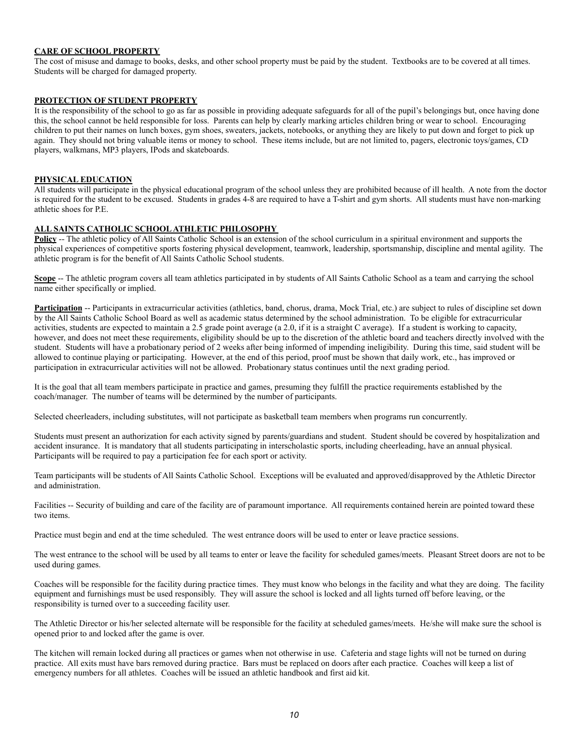## **CARE OF SCHOOL PROPERTY**

The cost of misuse and damage to books, desks, and other school property must be paid by the student. Textbooks are to be covered at all times. Students will be charged for damaged property.

#### **PROTECTION OF STUDENT PROPERTY**

It is the responsibility of the school to go as far as possible in providing adequate safeguards for all of the pupil's belongings but, once having done this, the school cannot be held responsible for loss. Parents can help by clearly marking articles children bring or wear to school. Encouraging children to put their names on lunch boxes, gym shoes, sweaters, jackets, notebooks, or anything they are likely to put down and forget to pick up again. They should not bring valuable items or money to school. These items include, but are not limited to, pagers, electronic toys/games, CD players, walkmans, MP3 players, IPods and skateboards.

## **PHYSICAL EDUCATION**

All students will participate in the physical educational program of the school unless they are prohibited because of ill health. A note from the doctor is required for the student to be excused. Students in grades 4-8 are required to have a T-shirt and gym shorts. All students must have non-marking athletic shoes for P.E.

#### **ALL SAINTS CATHOLIC SCHOOL ATHLETIC PHILOSOPHY**

**Policy** -- The athletic policy of All Saints Catholic School is an extension of the school curriculum in a spiritual environment and supports the physical experiences of competitive sports fostering physical development, teamwork, leadership, sportsmanship, discipline and mental agility. The athletic program is for the benefit of All Saints Catholic School students.

**Scope** -- The athletic program covers all team athletics participated in by students of All Saints Catholic School as a team and carrying the school name either specifically or implied.

**Participation** -- Participants in extracurricular activities (athletics, band, chorus, drama, Mock Trial, etc.) are subject to rules of discipline set down by the All Saints Catholic School Board as well as academic status determined by the school administration. To be eligible for extracurricular activities, students are expected to maintain a 2.5 grade point average (a 2.0, if it is a straight C average). If a student is working to capacity, however, and does not meet these requirements, eligibility should be up to the discretion of the athletic board and teachers directly involved with the student. Students will have a probationary period of 2 weeks after being informed of impending ineligibility. During this time, said student will be allowed to continue playing or participating. However, at the end of this period, proof must be shown that daily work, etc., has improved or participation in extracurricular activities will not be allowed. Probationary status continues until the next grading period.

It is the goal that all team members participate in practice and games, presuming they fulfill the practice requirements established by the coach/manager. The number of teams will be determined by the number of participants.

Selected cheerleaders, including substitutes, will not participate as basketball team members when programs run concurrently.

Students must present an authorization for each activity signed by parents/guardians and student. Student should be covered by hospitalization and accident insurance. It is mandatory that all students participating in interscholastic sports, including cheerleading, have an annual physical. Participants will be required to pay a participation fee for each sport or activity.

Team participants will be students of All Saints Catholic School. Exceptions will be evaluated and approved/disapproved by the Athletic Director and administration.

Facilities -- Security of building and care of the facility are of paramount importance. All requirements contained herein are pointed toward these two items.

Practice must begin and end at the time scheduled. The west entrance doors will be used to enter or leave practice sessions.

The west entrance to the school will be used by all teams to enter or leave the facility for scheduled games/meets. Pleasant Street doors are not to be used during games.

Coaches will be responsible for the facility during practice times. They must know who belongs in the facility and what they are doing. The facility equipment and furnishings must be used responsibly. They will assure the school is locked and all lights turned off before leaving, or the responsibility is turned over to a succeeding facility user.

The Athletic Director or his/her selected alternate will be responsible for the facility at scheduled games/meets. He/she will make sure the school is opened prior to and locked after the game is over.

The kitchen will remain locked during all practices or games when not otherwise in use. Cafeteria and stage lights will not be turned on during practice. All exits must have bars removed during practice. Bars must be replaced on doors after each practice. Coaches will keep a list of emergency numbers for all athletes. Coaches will be issued an athletic handbook and first aid kit.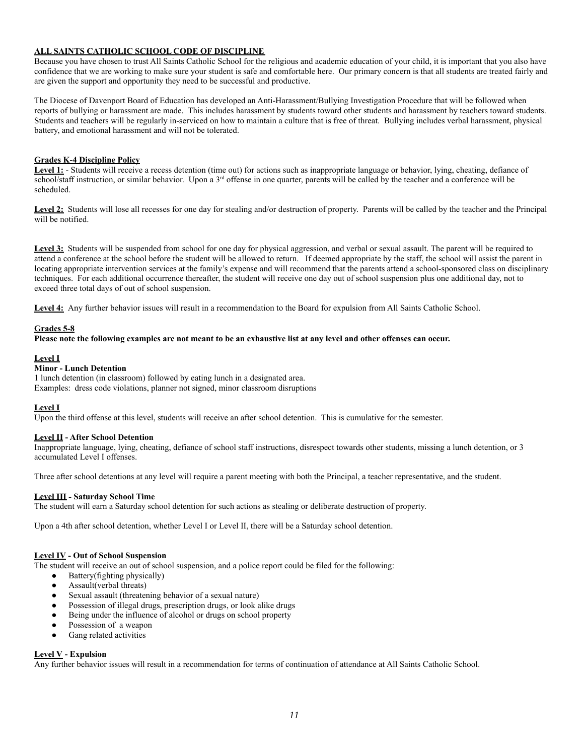## **ALL SAINTS CATHOLIC SCHOOL CODE OF DISCIPLINE**

Because you have chosen to trust All Saints Catholic School for the religious and academic education of your child, it is important that you also have confidence that we are working to make sure your student is safe and comfortable here. Our primary concern is that all students are treated fairly and are given the support and opportunity they need to be successful and productive.

The Diocese of Davenport Board of Education has developed an Anti-Harassment/Bullying Investigation Procedure that will be followed when reports of bullying or harassment are made. This includes harassment by students toward other students and harassment by teachers toward students. Students and teachers will be regularly in-serviced on how to maintain a culture that is free of threat. Bullying includes verbal harassment, physical battery, and emotional harassment and will not be tolerated.

### **Grades K-4 Discipline Policy**

Level 1: - Students will receive a recess detention (time out) for actions such as inappropriate language or behavior, lying, cheating, defiance of school/staff instruction, or similar behavior. Upon a 3<sup>rd</sup> offense in one quarter, parents will be called by the teacher and a conference will be scheduled.

Level 2: Students will lose all recesses for one day for stealing and/or destruction of property. Parents will be called by the teacher and the Principal will be notified.

Level 3: Students will be suspended from school for one day for physical aggression, and verbal or sexual assault. The parent will be required to attend a conference at the school before the student will be allowed to return. If deemed appropriate by the staff, the school will assist the parent in locating appropriate intervention services at the family's expense and will recommend that the parents attend a school-sponsored class on disciplinary techniques. For each additional occurrence thereafter, the student will receive one day out of school suspension plus one additional day, not to exceed three total days of out of school suspension.

Level 4: Any further behavior issues will result in a recommendation to the Board for expulsion from All Saints Catholic School.

### **Grades 5-8**

#### **Please note the following examples are not meant to be an exhaustive list at any level and other offenses can occur.**

#### **Level I**

## **Minor - Lunch Detention**

1 lunch detention (in classroom) followed by eating lunch in a designated area. Examples: dress code violations, planner not signed, minor classroom disruptions

### **Level I**

Upon the third offense at this level, students will receive an after school detention. This is cumulative for the semester.

# **Level II - After School Detention**

Inappropriate language, lying, cheating, defiance of school staff instructions, disrespect towards other students, missing a lunch detention, or 3 accumulated Level I offenses.

Three after school detentions at any level will require a parent meeting with both the Principal, a teacher representative, and the student.

#### **Level III - Saturday School Time**

The student will earn a Saturday school detention for such actions as stealing or deliberate destruction of property.

Upon a 4th after school detention, whether Level I or Level II, there will be a Saturday school detention.

#### **Level IV - Out of School Suspension**

The student will receive an out of school suspension, and a police report could be filed for the following:

- Battery(fighting physically)
- Assault(verbal threats)
- Sexual assault (threatening behavior of a sexual nature)
- Possession of illegal drugs, prescription drugs, or look alike drugs
- Being under the influence of alcohol or drugs on school property
- Possession of a weapon
- Gang related activities

### **Level V - Expulsion**

Any further behavior issues will result in a recommendation for terms of continuation of attendance at All Saints Catholic School.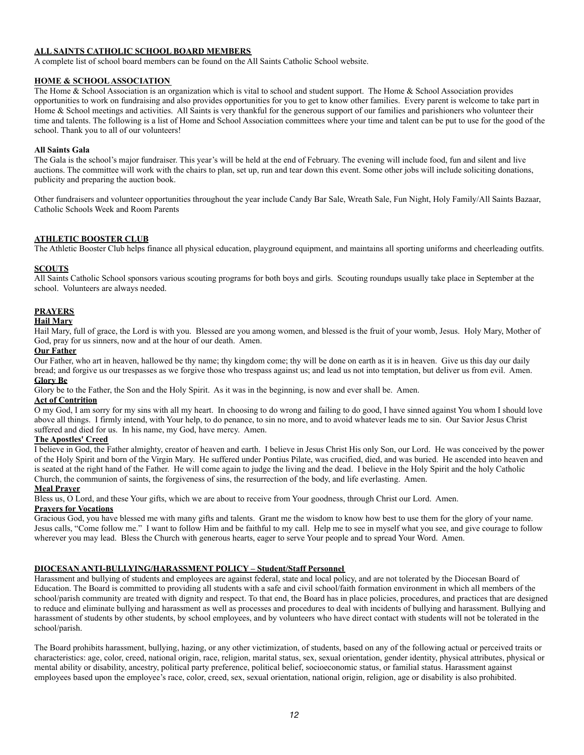## **ALL SAINTS CATHOLIC SCHOOL BOARD MEMBERS**

A complete list of school board members can be found on the All Saints Catholic School website.

### **HOME & SCHOOL ASSOCIATION**

The Home & School Association is an organization which is vital to school and student support. The Home & School Association provides opportunities to work on fundraising and also provides opportunities for you to get to know other families. Every parent is welcome to take part in Home & School meetings and activities. All Saints is very thankful for the generous support of our families and parishioners who volunteer their time and talents. The following is a list of Home and School Association committees where your time and talent can be put to use for the good of the school. Thank you to all of our volunteers!

#### **All Saints Gala**

The Gala is the school's major fundraiser. This year's will be held at the end of February. The evening will include food, fun and silent and live auctions. The committee will work with the chairs to plan, set up, run and tear down this event. Some other jobs will include soliciting donations, publicity and preparing the auction book.

Other fundraisers and volunteer opportunities throughout the year include Candy Bar Sale, Wreath Sale, Fun Night, Holy Family/All Saints Bazaar, Catholic Schools Week and Room Parents

## **ATHLETIC BOOSTER CLUB**

The Athletic Booster Club helps finance all physical education, playground equipment, and maintains all sporting uniforms and cheerleading outfits.

#### **SCOUTS**

All Saints Catholic School sponsors various scouting programs for both boys and girls. Scouting roundups usually take place in September at the school. Volunteers are always needed.

#### **PRAYERS**

### **Hail Mary**

Hail Mary, full of grace, the Lord is with you. Blessed are you among women, and blessed is the fruit of your womb, Jesus. Holy Mary, Mother of God, pray for us sinners, now and at the hour of our death. Amen.

# **Our Father**

Our Father, who art in heaven, hallowed be thy name; thy kingdom come; thy will be done on earth as it is in heaven. Give us this day our daily bread; and forgive us our trespasses as we forgive those who trespass against us; and lead us not into temptation, but deliver us from evil. Amen. **Glory Be**

Glory be to the Father, the Son and the Holy Spirit. As it was in the beginning, is now and ever shall be. Amen.

## **Act of Contrition**

O my God, I am sorry for my sins with all my heart. In choosing to do wrong and failing to do good, I have sinned against You whom I should love above all things. I firmly intend, with Your help, to do penance, to sin no more, and to avoid whatever leads me to sin. Our Savior Jesus Christ suffered and died for us. In his name, my God, have mercy. Amen.

### **The Apostles' Creed**

I believe in God, the Father almighty, creator of heaven and earth. I believe in Jesus Christ His only Son, our Lord. He was conceived by the power of the Holy Spirit and born of the Virgin Mary. He suffered under Pontius Pilate, was crucified, died, and was buried. He ascended into heaven and is seated at the right hand of the Father. He will come again to judge the living and the dead. I believe in the Holy Spirit and the holy Catholic Church, the communion of saints, the forgiveness of sins, the resurrection of the body, and life everlasting. Amen.

#### **Meal Prayer**

Bless us, O Lord, and these Your gifts, which we are about to receive from Your goodness, through Christ our Lord. Amen.

## **Prayers for Vocations**

Gracious God, you have blessed me with many gifts and talents. Grant me the wisdom to know how best to use them for the glory of your name. Jesus calls, "Come follow me." I want to follow Him and be faithful to my call. Help me to see in myself what you see, and give courage to follow wherever you may lead. Bless the Church with generous hearts, eager to serve Your people and to spread Your Word. Amen.

### **DIOCESAN ANTI-BULLYING/HARASSMENT POLICY – Student/Staff Personnel**

Harassment and bullying of students and employees are against federal, state and local policy, and are not tolerated by the Diocesan Board of Education. The Board is committed to providing all students with a safe and civil school/faith formation environment in which all members of the school/parish community are treated with dignity and respect. To that end, the Board has in place policies, procedures, and practices that are designed to reduce and eliminate bullying and harassment as well as processes and procedures to deal with incidents of bullying and harassment. Bullying and harassment of students by other students, by school employees, and by volunteers who have direct contact with students will not be tolerated in the school/parish.

The Board prohibits harassment, bullying, hazing, or any other victimization, of students, based on any of the following actual or perceived traits or characteristics: age, color, creed, national origin, race, religion, marital status, sex, sexual orientation, gender identity, physical attributes, physical or mental ability or disability, ancestry, political party preference, political belief, socioeconomic status, or familial status. Harassment against employees based upon the employee's race, color, creed, sex, sexual orientation, national origin, religion, age or disability is also prohibited.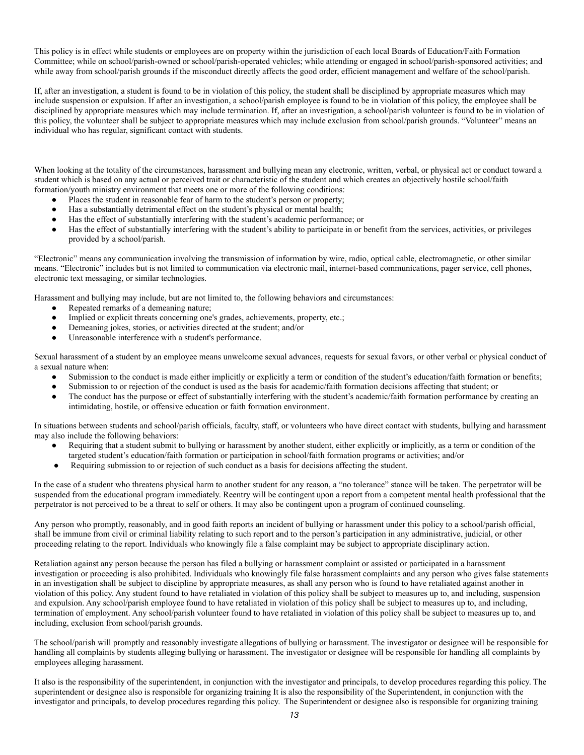This policy is in effect while students or employees are on property within the jurisdiction of each local Boards of Education/Faith Formation Committee; while on school/parish-owned or school/parish-operated vehicles; while attending or engaged in school/parish-sponsored activities; and while away from school/parish grounds if the misconduct directly affects the good order, efficient management and welfare of the school/parish.

If, after an investigation, a student is found to be in violation of this policy, the student shall be disciplined by appropriate measures which may include suspension or expulsion. If after an investigation, a school/parish employee is found to be in violation of this policy, the employee shall be disciplined by appropriate measures which may include termination. If, after an investigation, a school/parish volunteer is found to be in violation of this policy, the volunteer shall be subject to appropriate measures which may include exclusion from school/parish grounds. "Volunteer" means an individual who has regular, significant contact with students.

When looking at the totality of the circumstances, harassment and bullying mean any electronic, written, verbal, or physical act or conduct toward a student which is based on any actual or perceived trait or characteristic of the student and which creates an objectively hostile school/faith formation/youth ministry environment that meets one or more of the following conditions:

- Places the student in reasonable fear of harm to the student's person or property;
- Has a substantially detrimental effect on the student's physical or mental health;
- Has the effect of substantially interfering with the student's academic performance; or
- Has the effect of substantially interfering with the student's ability to participate in or benefit from the services, activities, or privileges provided by a school/parish.

"Electronic" means any communication involving the transmission of information by wire, radio, optical cable, electromagnetic, or other similar means. "Electronic" includes but is not limited to communication via electronic mail, internet-based communications, pager service, cell phones, electronic text messaging, or similar technologies.

Harassment and bullying may include, but are not limited to, the following behaviors and circumstances:

- Repeated remarks of a demeaning nature;
- Implied or explicit threats concerning one's grades, achievements, property, etc.;
- Demeaning jokes, stories, or activities directed at the student; and/or
- Unreasonable interference with a student's performance.

Sexual harassment of a student by an employee means unwelcome sexual advances, requests for sexual favors, or other verbal or physical conduct of a sexual nature when:

- Submission to the conduct is made either implicitly or explicitly a term or condition of the student's education/faith formation or benefits;
- Submission to or rejection of the conduct is used as the basis for academic/faith formation decisions affecting that student; or
- The conduct has the purpose or effect of substantially interfering with the student's academic/faith formation performance by creating an intimidating, hostile, or offensive education or faith formation environment.

In situations between students and school/parish officials, faculty, staff, or volunteers who have direct contact with students, bullying and harassment may also include the following behaviors:

- Requiring that a student submit to bullying or harassment by another student, either explicitly or implicitly, as a term or condition of the targeted student's education/faith formation or participation in school/faith formation programs or activities; and/or
- Requiring submission to or rejection of such conduct as a basis for decisions affecting the student.

In the case of a student who threatens physical harm to another student for any reason, a "no tolerance" stance will be taken. The perpetrator will be suspended from the educational program immediately. Reentry will be contingent upon a report from a competent mental health professional that the perpetrator is not perceived to be a threat to self or others. It may also be contingent upon a program of continued counseling.

Any person who promptly, reasonably, and in good faith reports an incident of bullying or harassment under this policy to a school/parish official, shall be immune from civil or criminal liability relating to such report and to the person's participation in any administrative, judicial, or other proceeding relating to the report. Individuals who knowingly file a false complaint may be subject to appropriate disciplinary action.

Retaliation against any person because the person has filed a bullying or harassment complaint or assisted or participated in a harassment investigation or proceeding is also prohibited. Individuals who knowingly file false harassment complaints and any person who gives false statements in an investigation shall be subject to discipline by appropriate measures, as shall any person who is found to have retaliated against another in violation of this policy. Any student found to have retaliated in violation of this policy shall be subject to measures up to, and including, suspension and expulsion. Any school/parish employee found to have retaliated in violation of this policy shall be subject to measures up to, and including, termination of employment. Any school/parish volunteer found to have retaliated in violation of this policy shall be subject to measures up to, and including, exclusion from school/parish grounds.

The school/parish will promptly and reasonably investigate allegations of bullying or harassment. The investigator or designee will be responsible for handling all complaints by students alleging bullying or harassment. The investigator or designee will be responsible for handling all complaints by employees alleging harassment.

It also is the responsibility of the superintendent, in conjunction with the investigator and principals, to develop procedures regarding this policy. The superintendent or designee also is responsible for organizing training It is also the responsibility of the Superintendent, in conjunction with the investigator and principals, to develop procedures regarding this policy. The Superintendent or designee also is responsible for organizing training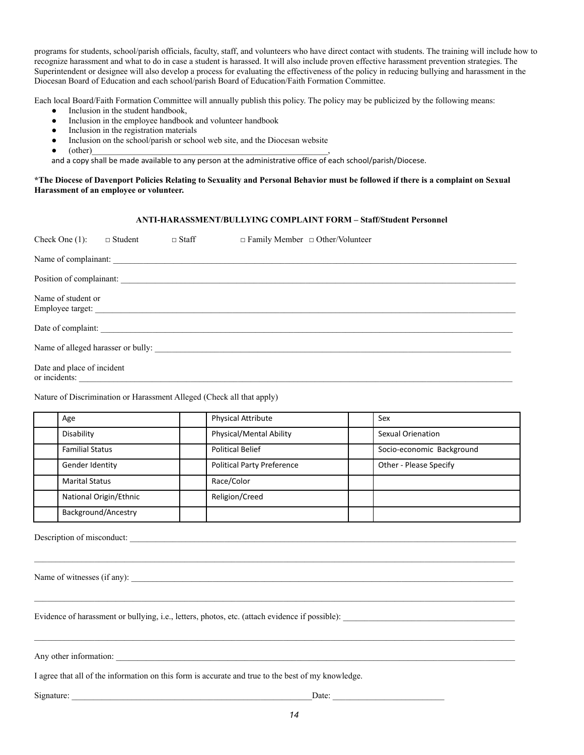programs for students, school/parish officials, faculty, staff, and volunteers who have direct contact with students. The training will include how to recognize harassment and what to do in case a student is harassed. It will also include proven effective harassment prevention strategies. The Superintendent or designee will also develop a process for evaluating the effectiveness of the policy in reducing bullying and harassment in the Diocesan Board of Education and each school/parish Board of Education/Faith Formation Committee.

Each local Board/Faith Formation Committee will annually publish this policy. The policy may be publicized by the following means:

- Inclusion in the student handbook,
- Inclusion in the employee handbook and volunteer handbook
- Inclusion in the registration materials
- Inclusion on the school/parish or school web site, and the Diocesan website
- $\bullet$  (other)  $\qquad \qquad$

and a copy shall be made available to any person at the administrative office of each school/parish/Diocese.

## **\*The Diocese of Davenport Policies Relating to Sexuality and Personal Behavior must be followed if there is a complaint on Sexual Harassment of an employee or volunteer.**

## **ANTI-HARASSMENT/BULLYING COMPLAINT FORM – Staff/Student Personnel**

| Check One $(1)$ :                           | $\Box$ Student | $\Box$ Staff | $\Box$ Family Member $\Box$ Other/Volunteer |
|---------------------------------------------|----------------|--------------|---------------------------------------------|
|                                             |                |              |                                             |
|                                             |                |              |                                             |
| Name of student or                          |                |              |                                             |
|                                             |                |              | Date of complaint: University of Complaint: |
|                                             |                |              | Name of alleged harasser or bully:          |
| Date and place of incident<br>or incidents: |                |              |                                             |

Nature of Discrimination or Harassment Alleged (Check all that apply)

| Age                    | <b>Physical Attribute</b>         | Sex                       |
|------------------------|-----------------------------------|---------------------------|
| Disability             | Physical/Mental Ability           | <b>Sexual Orienation</b>  |
| <b>Familial Status</b> | <b>Political Belief</b>           | Socio-economic Background |
| Gender Identity        | <b>Political Party Preference</b> | Other - Please Specify    |
| <b>Marital Status</b>  | Race/Color                        |                           |
| National Origin/Ethnic | Religion/Creed                    |                           |
| Background/Ancestry    |                                   |                           |

Description of misconduct:

Name of witnesses (if any):

Evidence of harassment or bullying, i.e., letters, photos, etc. (attach evidence if possible):

Any other information:

I agree that all of the information on this form is accurate and true to the best of my knowledge.

Signature: \_\_\_\_\_\_\_\_\_\_\_\_\_\_\_\_\_\_\_\_\_\_\_\_\_\_\_\_\_\_\_\_\_\_\_\_\_\_\_\_\_\_\_\_\_\_\_\_\_\_\_\_\_\_\_\_Date: \_\_\_\_\_\_\_\_\_\_\_\_\_\_\_\_\_\_\_\_\_\_\_\_\_\_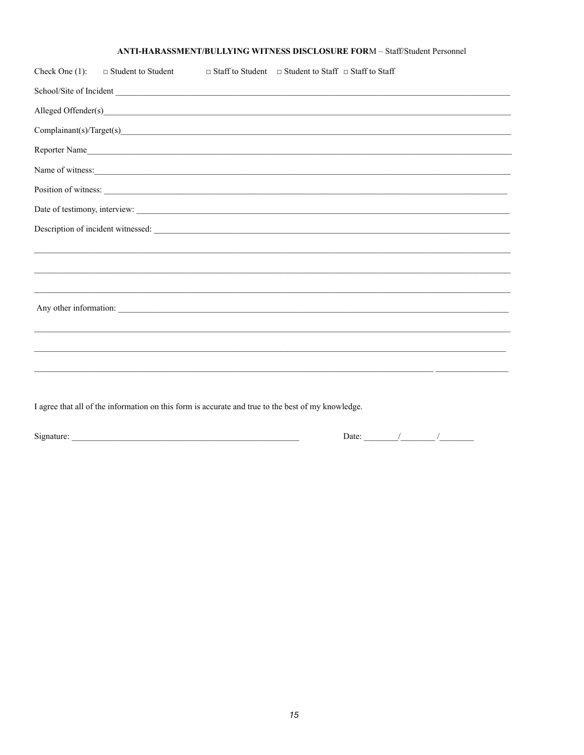# ANTI-HARASSMENT/BULLYING WITNESS DISCLOSURE FORM - Staff/Student Personnel

| Check One $(1)$ : | $\Box$ Student to Student                                                                                                                                                                                                         | $\Box$ Staff to Student $\Box$ Student to Staff $\Box$ Staff to Staff            |  |
|-------------------|-----------------------------------------------------------------------------------------------------------------------------------------------------------------------------------------------------------------------------------|----------------------------------------------------------------------------------|--|
|                   |                                                                                                                                                                                                                                   | School/Site of Incident                                                          |  |
|                   |                                                                                                                                                                                                                                   |                                                                                  |  |
|                   |                                                                                                                                                                                                                                   |                                                                                  |  |
|                   |                                                                                                                                                                                                                                   | Reporter Name                                                                    |  |
|                   |                                                                                                                                                                                                                                   | Name of witness:                                                                 |  |
|                   |                                                                                                                                                                                                                                   | Position of witness:                                                             |  |
|                   |                                                                                                                                                                                                                                   |                                                                                  |  |
|                   |                                                                                                                                                                                                                                   | Description of incident witnessed:                                               |  |
|                   |                                                                                                                                                                                                                                   | ,我们也不会有什么?""我们的人,我们也不会有什么?""我们的人,我们也不会有什么?""我们的人,我们也不会有什么?""我们的人,我们也不会有什么?""我们的人 |  |
|                   |                                                                                                                                                                                                                                   | ,我们也不会有什么?""我们的人,我们也不会有什么?""我们的人,我们也不会有什么?""我们的人,我们也不会有什么?""我们的人,我们也不会有什么?""我们的人 |  |
|                   |                                                                                                                                                                                                                                   |                                                                                  |  |
|                   |                                                                                                                                                                                                                                   |                                                                                  |  |
|                   |                                                                                                                                                                                                                                   | ,我们也不会有什么?""我们的人,我们也不会有什么?""我们的人,我们也不会有什么?""我们的人,我们也不会有什么?""我们的人,我们也不会有什么?""我们的人 |  |
|                   |                                                                                                                                                                                                                                   |                                                                                  |  |
|                   |                                                                                                                                                                                                                                   |                                                                                  |  |
|                   |                                                                                                                                                                                                                                   | ,他们也不会不会不会。""我们的人,我们也不会不会不会不会不会不会不会不会。""我们的人,我们也不会不会不会不会不会不会不会。""我们的人,我们也不会不会不会不 |  |
|                   | $\bullet$ and the contract of the contract of the contract of the contract of the contract of the contract of the contract of the contract of the contract of the contract of the contract of the contract of the contract of the |                                                                                  |  |

I agree that all of the information on this form is accurate and true to the best of my knowledge.

Date:  $\frac{1}{\sqrt{1-\frac{1}{2}}}\frac{1}{\sqrt{1-\frac{1}{2}}}\frac{1}{\sqrt{1-\frac{1}{2}}}\frac{1}{\sqrt{1-\frac{1}{2}}}\frac{1}{\sqrt{1-\frac{1}{2}}}\frac{1}{\sqrt{1-\frac{1}{2}}}\frac{1}{\sqrt{1-\frac{1}{2}}}\frac{1}{\sqrt{1-\frac{1}{2}}}\frac{1}{\sqrt{1-\frac{1}{2}}}\frac{1}{\sqrt{1-\frac{1}{2}}}\frac{1}{\sqrt{1-\frac{1}{2}}}\frac{1}{\sqrt{1-\frac{1}{2}}}\frac{1}{\sqrt{1-\frac{1}{2}}}\frac{1}{\$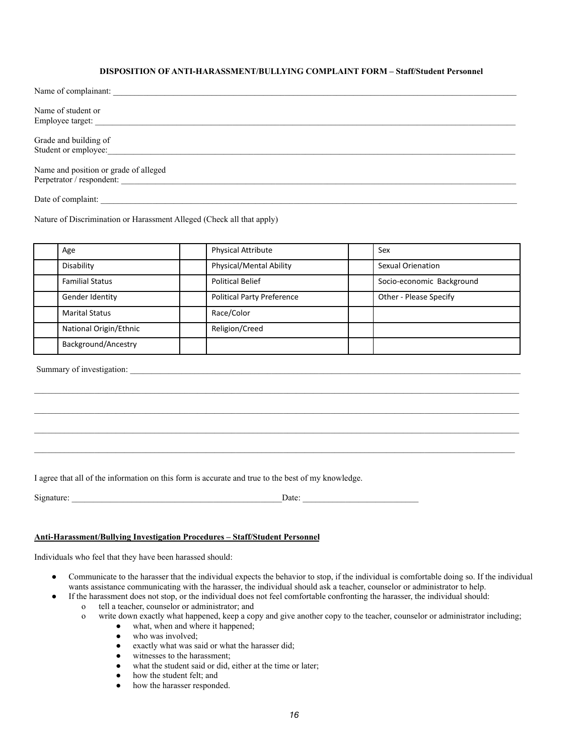## **DISPOSITION OF ANTI-HARASSMENT/BULLYING COMPLAINT FORM – Staff/Student Personnel**

| Name of complainant:                  |
|---------------------------------------|
|                                       |
| Name of student or                    |
| Employee target:                      |
|                                       |
| Grade and building of                 |
| Student or employee:                  |
|                                       |
| Name and position or grade of alleged |
| Perpetrator / respondent:             |
|                                       |
| Date of complaint:                    |

Nature of Discrimination or Harassment Alleged (Check all that apply)

| Age                    | Physical Attribute                | Sex                       |
|------------------------|-----------------------------------|---------------------------|
| Disability             | Physical/Mental Ability           | <b>Sexual Orienation</b>  |
| <b>Familial Status</b> | <b>Political Belief</b>           | Socio-economic Background |
| Gender Identity        | <b>Political Party Preference</b> | Other - Please Specify    |
| <b>Marital Status</b>  | Race/Color                        |                           |
| National Origin/Ethnic | Religion/Creed                    |                           |
| Background/Ancestry    |                                   |                           |

 $\mathcal{L}_\text{max} = \mathcal{L}_\text{max} = \mathcal{L}_\text{max} = \mathcal{L}_\text{max} = \mathcal{L}_\text{max} = \mathcal{L}_\text{max} = \mathcal{L}_\text{max} = \mathcal{L}_\text{max} = \mathcal{L}_\text{max} = \mathcal{L}_\text{max} = \mathcal{L}_\text{max} = \mathcal{L}_\text{max} = \mathcal{L}_\text{max} = \mathcal{L}_\text{max} = \mathcal{L}_\text{max} = \mathcal{L}_\text{max} = \mathcal{L}_\text{max} = \mathcal{L}_\text{max} = \mathcal{$ 

\_\_\_\_\_\_\_\_\_\_\_\_\_\_\_\_\_\_\_\_\_\_\_\_\_\_\_\_\_\_\_\_\_\_\_\_\_\_\_\_\_\_\_\_\_\_\_\_\_\_\_\_\_\_\_\_\_\_\_\_\_\_\_\_\_\_\_\_\_\_\_\_\_\_\_\_\_\_\_\_\_\_\_\_\_\_\_\_\_\_\_\_\_\_\_\_\_\_\_\_\_\_\_\_\_\_\_\_\_\_\_\_

Summary of investigation:

I agree that all of the information on this form is accurate and true to the best of my knowledge.

Signature: \_\_\_\_\_\_\_\_\_\_\_\_\_\_\_\_\_\_\_\_\_\_\_\_\_\_\_\_\_\_\_\_\_\_\_\_\_\_\_\_\_\_\_\_\_\_\_\_\_Date: \_\_\_\_\_\_\_\_\_\_\_\_\_\_\_\_\_\_\_\_\_\_\_\_\_\_\_

#### **Anti-Harassment/Bullying Investigation Procedures – Staff/Student Personnel**

Individuals who feel that they have been harassed should:

- Communicate to the harasser that the individual expects the behavior to stop, if the individual is comfortable doing so. If the individual wants assistance communicating with the harasser, the individual should ask a teacher, counselor or administrator to help.
	- If the harassment does not stop, or the individual does not feel comfortable confronting the harasser, the individual should:
		- o tell a teacher, counselor or administrator; and
		- o write down exactly what happened, keep a copy and give another copy to the teacher, counselor or administrator including;
			- what, when and where it happened;
			- who was involved;
			- exactly what was said or what the harasser did;
			- witnesses to the harassment;
			- what the student said or did, either at the time or later;
			- how the student felt; and
			- how the harasser responded.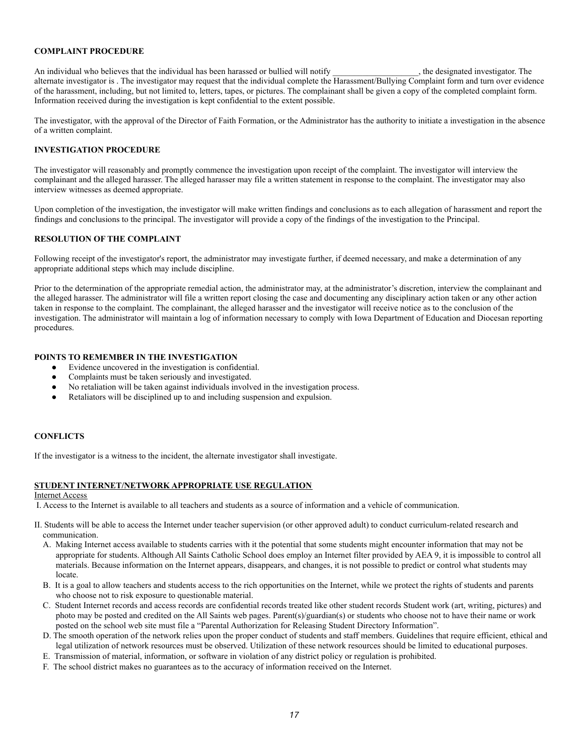#### **COMPLAINT PROCEDURE**

An individual who believes that the individual has been harassed or bullied will notify example the designated investigator. The alternate investigator is . The investigator may request that the individual complete the Harassment/Bullying Complaint form and turn over evidence of the harassment, including, but not limited to, letters, tapes, or pictures. The complainant shall be given a copy of the completed complaint form. Information received during the investigation is kept confidential to the extent possible.

The investigator, with the approval of the Director of Faith Formation, or the Administrator has the authority to initiate a investigation in the absence of a written complaint.

#### **INVESTIGATION PROCEDURE**

The investigator will reasonably and promptly commence the investigation upon receipt of the complaint. The investigator will interview the complainant and the alleged harasser. The alleged harasser may file a written statement in response to the complaint. The investigator may also interview witnesses as deemed appropriate.

Upon completion of the investigation, the investigator will make written findings and conclusions as to each allegation of harassment and report the findings and conclusions to the principal. The investigator will provide a copy of the findings of the investigation to the Principal.

#### **RESOLUTION OF THE COMPLAINT**

Following receipt of the investigator's report, the administrator may investigate further, if deemed necessary, and make a determination of any appropriate additional steps which may include discipline.

Prior to the determination of the appropriate remedial action, the administrator may, at the administrator's discretion, interview the complainant and the alleged harasser. The administrator will file a written report closing the case and documenting any disciplinary action taken or any other action taken in response to the complaint. The complainant, the alleged harasser and the investigator will receive notice as to the conclusion of the investigation. The administrator will maintain a log of information necessary to comply with Iowa Department of Education and Diocesan reporting procedures.

## **POINTS TO REMEMBER IN THE INVESTIGATION**

- Evidence uncovered in the investigation is confidential.
- Complaints must be taken seriously and investigated.
- No retaliation will be taken against individuals involved in the investigation process.
- Retaliators will be disciplined up to and including suspension and expulsion.

# **CONFLICTS**

If the investigator is a witness to the incident, the alternate investigator shall investigate.

### **STUDENT INTERNET/NETWORK APPROPRIATE USE REGULATION**

#### Internet Access

I. Access to the Internet is available to all teachers and students as a source of information and a vehicle of communication.

- II. Students will be able to access the Internet under teacher supervision (or other approved adult) to conduct curriculum-related research and communication.
	- A. Making Internet access available to students carries with it the potential that some students might encounter information that may not be appropriate for students. Although All Saints Catholic School does employ an Internet filter provided by AEA 9, it is impossible to control all materials. Because information on the Internet appears, disappears, and changes, it is not possible to predict or control what students may locate.
	- B. It is a goal to allow teachers and students access to the rich opportunities on the Internet, while we protect the rights of students and parents who choose not to risk exposure to questionable material.
	- C. Student Internet records and access records are confidential records treated like other student records Student work (art, writing, pictures) and photo may be posted and credited on the All Saints web pages. Parent(s)/guardian(s) or students who choose not to have their name or work posted on the school web site must file a "Parental Authorization for Releasing Student Directory Information".
	- D. The smooth operation of the network relies upon the proper conduct of students and staff members. Guidelines that require efficient, ethical and legal utilization of network resources must be observed. Utilization of these network resources should be limited to educational purposes.
	- E. Transmission of material, information, or software in violation of any district policy or regulation is prohibited.
	- F. The school district makes no guarantees as to the accuracy of information received on the Internet.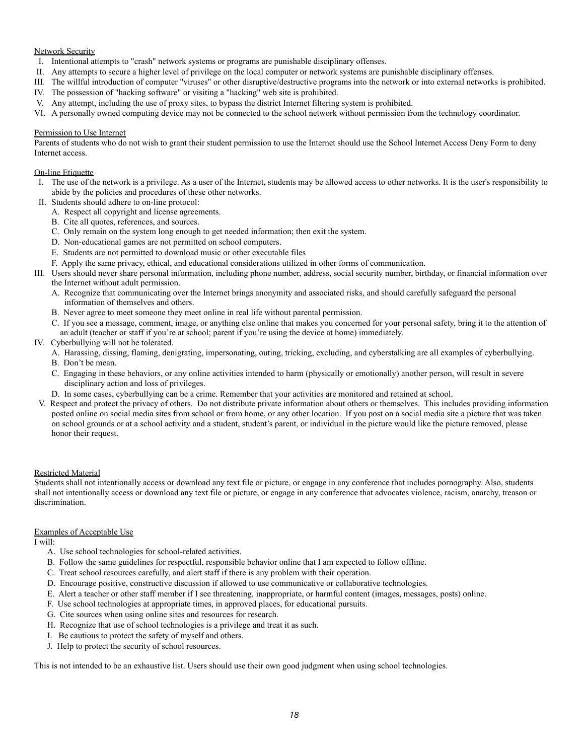## Network Security

- I. Intentional attempts to "crash" network systems or programs are punishable disciplinary offenses.
- II. Any attempts to secure a higher level of privilege on the local computer or network systems are punishable disciplinary offenses.
- III. The willful introduction of computer "viruses" or other disruptive/destructive programs into the network or into external networks is prohibited.
- IV. The possession of "hacking software" or visiting a "hacking" web site is prohibited.
- V. Any attempt, including the use of proxy sites, to bypass the district Internet filtering system is prohibited.
- VI. A personally owned computing device may not be connected to the school network without permission from the technology coordinator.

## Permission to Use Internet

Parents of students who do not wish to grant their student permission to use the Internet should use the School Internet Access Deny Form to deny Internet access.

# On-line Etiquette

- I. The use of the network is a privilege. As a user of the Internet, students may be allowed access to other networks. It is the user's responsibility to abide by the policies and procedures of these other networks.
- II. Students should adhere to on-line protocol:
	- A. Respect all copyright and license agreements.
	- B. Cite all quotes, references, and sources.
	- C. Only remain on the system long enough to get needed information; then exit the system.
	- D. Non-educational games are not permitted on school computers.
	- E. Students are not permitted to download music or other executable files
	- F. Apply the same privacy, ethical, and educational considerations utilized in other forms of communication.
- III. Users should never share personal information, including phone number, address, social security number, birthday, or financial information over the Internet without adult permission.
	- A. Recognize that communicating over the Internet brings anonymity and associated risks, and should carefully safeguard the personal information of themselves and others.
	- B. Never agree to meet someone they meet online in real life without parental permission.
	- C. If you see a message, comment, image, or anything else online that makes you concerned for your personal safety, bring it to the attention of an adult (teacher or staff if you're at school; parent if you're using the device at home) immediately.
- IV. Cyberbullying will not be tolerated.
	- A. Harassing, dissing, flaming, denigrating, impersonating, outing, tricking, excluding, and cyberstalking are all examples of cyberbullying.
	- B. Don't be mean.
	- C. Engaging in these behaviors, or any online activities intended to harm (physically or emotionally) another person, will result in severe disciplinary action and loss of privileges.
	- D. In some cases, cyberbullying can be a crime. Remember that your activities are monitored and retained at school.
- V. Respect and protect the privacy of others. Do not distribute private information about others or themselves. This includes providing information posted online on social media sites from school or from home, or any other location. If you post on a social media site a picture that was taken on school grounds or at a school activity and a student, student's parent, or individual in the picture would like the picture removed, please honor their request.

### Restricted Material

Students shall not intentionally access or download any text file or picture, or engage in any conference that includes pornography. Also, students shall not intentionally access or download any text file or picture, or engage in any conference that advocates violence, racism, anarchy, treason or discrimination.

### Examples of Acceptable Use

I will:

- A. Use school technologies for school-related activities.
- B. Follow the same guidelines for respectful, responsible behavior online that I am expected to follow offline.
- C. Treat school resources carefully, and alert staff if there is any problem with their operation.
- D. Encourage positive, constructive discussion if allowed to use communicative or collaborative technologies.
- E. Alert a teacher or other staff member if I see threatening, inappropriate, or harmful content (images, messages, posts) online.
- F. Use school technologies at appropriate times, in approved places, for educational pursuits.
- G. Cite sources when using online sites and resources for research.
- H. Recognize that use of school technologies is a privilege and treat it as such.
- I. Be cautious to protect the safety of myself and others.
- J. Help to protect the security of school resources.

This is not intended to be an exhaustive list. Users should use their own good judgment when using school technologies.